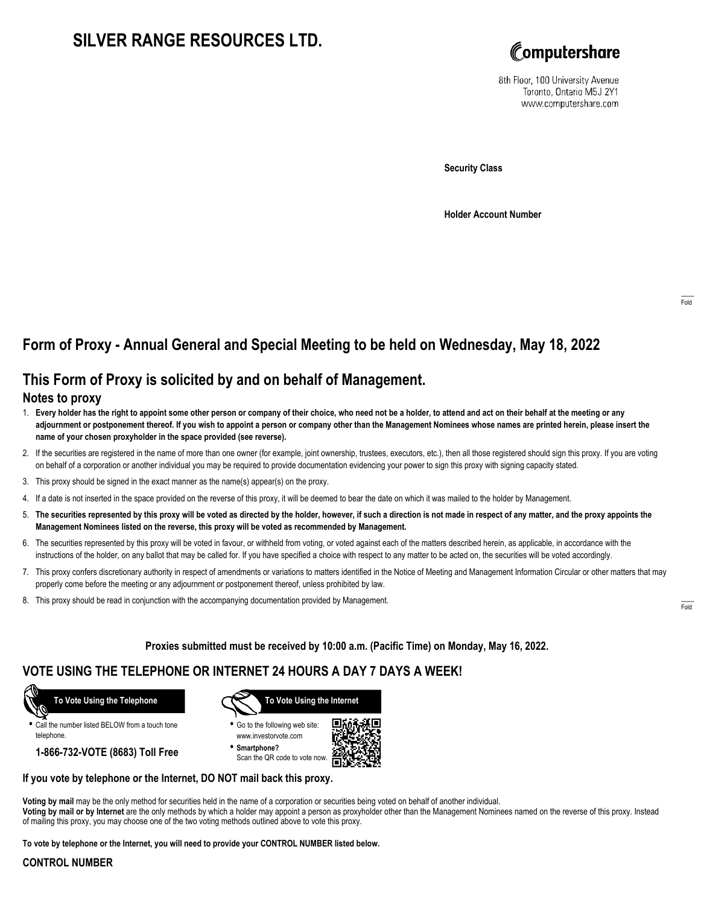## **SILVER RANGE RESOURCES LTD.**



8th Floor, 100 University Avenue Toronto, Ontario M5J 2Y1 www.computershare.com

**Security Class**

**Holder Account Number**

## **Form of Proxy - Annual General and Special Meeting to be held on Wednesday, May 18, 2022**

### **This Form of Proxy is solicited by and on behalf of Management.**

### **Notes to proxy**

- 1. **Every holder has the right to appoint some other person or company of their choice, who need not be a holder, to attend and act on their behalf at the meeting or any adjournment or postponement thereof. If you wish to appoint a person or company other than the Management Nominees whose names are printed herein, please insert the name of your chosen proxyholder in the space provided (see reverse).**
- 2. If the securities are registered in the name of more than one owner (for example, joint ownership, trustees, executors, etc.), then all those registered should sign this proxy. If you are voting on behalf of a corporation or another individual you may be required to provide documentation evidencing your power to sign this proxy with signing capacity stated.
- 3. This proxy should be signed in the exact manner as the name(s) appear(s) on the proxy.
- 4. If a date is not inserted in the space provided on the reverse of this proxy, it will be deemed to bear the date on which it was mailed to the holder by Management.
- 5. **The securities represented by this proxy will be voted as directed by the holder, however, if such a direction is not made in respect of any matter, and the proxy appoints the Management Nominees listed on the reverse, this proxy will be voted as recommended by Management.**
- 6. The securities represented by this proxy will be voted in favour, or withheld from voting, or voted against each of the matters described herein, as applicable, in accordance with the instructions of the holder, on any ballot that may be called for. If you have specified a choice with respect to any matter to be acted on, the securities will be voted accordingly.
- 7. This proxy confers discretionary authority in respect of amendments or variations to matters identified in the Notice of Meeting and Management Information Circular or other matters that may properly come before the meeting or any adjournment or postponement thereof, unless prohibited by law.
- 8. This proxy should be read in conjunction with the accompanying documentation provided by Management.

**Proxies submitted must be received by 10:00 a.m. (Pacific Time) on Monday, May 16, 2022.**

### **VOTE USING THE TELEPHONE OR INTERNET 24 HOURS A DAY 7 DAYS A WEEK!**



**•** Call the number listed BELOW from a touch tone telephone.

**1-866-732-VOTE (8683) Toll Free**



**•** Go to the following web site: www.investorvote.com

**• Smartphone?** Scan the QR code to vote now.



### **If you vote by telephone or the Internet, DO NOT mail back this proxy.**

**Voting by mail** may be the only method for securities held in the name of a corporation or securities being voted on behalf of another individual. **Voting by mail or by Internet** are the only methods by which a holder may appoint a person as proxyholder other than the Management Nominees named on the reverse of this proxy. Instead of mailing this proxy, you may choose one of the two voting methods outlined above to vote this proxy.

**To vote by telephone or the Internet, you will need to provide your CONTROL NUMBER listed below.**

#### **CONTROL NUMBER**